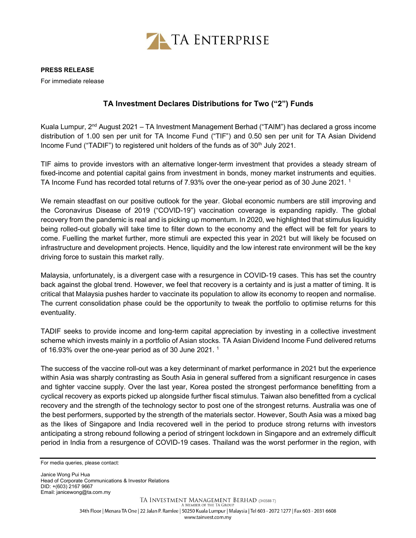

## PRESS RELEASE

For immediate release

## TA Investment Declares Distributions for Two ("2") Funds

Kuala Lumpur,  $2<sup>nd</sup>$  August 2021 – TA Investment Management Berhad ("TAIM") has declared a gross income distribution of 1.00 sen per unit for TA Income Fund ("TIF") and 0.50 sen per unit for TA Asian Dividend Income Fund ("TADIF") to registered unit holders of the funds as of  $30<sup>th</sup>$  July 2021.

TIF aims to provide investors with an alternative longer-term investment that provides a steady stream of fixed-income and potential capital gains from investment in bonds, money market instruments and equities. TA Income Fund has recorded total returns of 7.93% over the one-year period as of 30 June 2021. <sup>1</sup>

We remain steadfast on our positive outlook for the year. Global economic numbers are still improving and the Coronavirus Disease of 2019 ("COVID-19") vaccination coverage is expanding rapidly. The global recovery from the pandemic is real and is picking up momentum. In 2020, we highlighted that stimulus liquidity being rolled-out globally will take time to filter down to the economy and the effect will be felt for years to come. Fuelling the market further, more stimuli are expected this year in 2021 but will likely be focused on infrastructure and development projects. Hence, liquidity and the low interest rate environment will be the key driving force to sustain this market rally.

Malaysia, unfortunately, is a divergent case with a resurgence in COVID-19 cases. This has set the country back against the global trend. However, we feel that recovery is a certainty and is just a matter of timing. It is critical that Malaysia pushes harder to vaccinate its population to allow its economy to reopen and normalise. The current consolidation phase could be the opportunity to tweak the portfolio to optimise returns for this eventuality.

TADIF seeks to provide income and long-term capital appreciation by investing in a collective investment scheme which invests mainly in a portfolio of Asian stocks. TA Asian Dividend Income Fund delivered returns of 16.93% over the one-year period as of 30 June 2021. <sup>1</sup>

The success of the vaccine roll-out was a key determinant of market performance in 2021 but the experience within Asia was sharply contrasting as South Asia in general suffered from a significant resurgence in cases and tighter vaccine supply. Over the last year, Korea posted the strongest performance benefitting from a cyclical recovery as exports picked up alongside further fiscal stimulus. Taiwan also benefitted from a cyclical recovery and the strength of the technology sector to post one of the strongest returns. Australia was one of the best performers, supported by the strength of the materials sector. However, South Asia was a mixed bag as the likes of Singapore and India recovered well in the period to produce strong returns with investors anticipating a strong rebound following a period of stringent lockdown in Singapore and an extremely difficult period in India from a resurgence of COVID-19 cases. Thailand was the worst performer in the region, with

For media queries, please contact:

Janice Wong Pui Hua Head of Corporate Communications & Investor Relations DID: +(603) 2167 9667 Email: janicewong@ta.com.my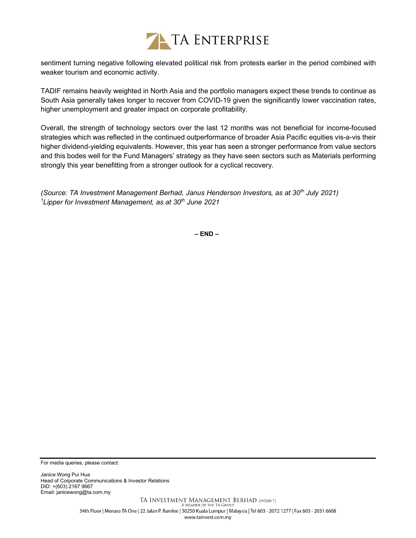

sentiment turning negative following elevated political risk from protests earlier in the period combined with weaker tourism and economic activity.

TADIF remains heavily weighted in North Asia and the portfolio managers expect these trends to continue as South Asia generally takes longer to recover from COVID-19 given the significantly lower vaccination rates, higher unemployment and greater impact on corporate profitability.

Overall, the strength of technology sectors over the last 12 months was not beneficial for income-focused strategies which was reflected in the continued outperformance of broader Asia Pacific equities vis-a-vis their higher dividend-yielding equivalents. However, this year has seen a stronger performance from value sectors and this bodes well for the Fund Managers' strategy as they have seen sectors such as Materials performing strongly this year benefitting from a stronger outlook for a cyclical recovery.

(Source: TA Investment Management Berhad, Janus Henderson Investors, as at 30<sup>th</sup> July 2021) <sup>1</sup>Lipper for Investment Management, as at 30<sup>th</sup> June 2021

– END –

For media queries, please contact:

Janice Wong Pui Hua Head of Corporate Communications & Investor Relations DID: +(603) 2167 9667 Email: janicewong@ta.com.my